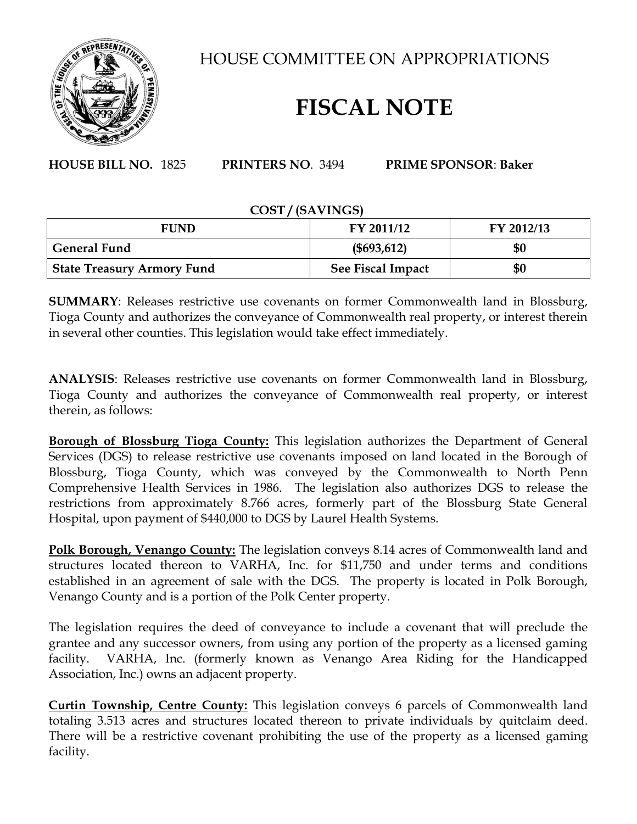

HOUSE COMMITTEE ON APPROPRIATIONS

## **FISCAL NOTE**

**HOUSE BILL NO.** 1825 **PRINTERS NO**. 3494 **PRIME SPONSOR**: **Baker**

## **COST / (SAVINGS)**

| <b>FUND</b>                       | <b>FY 2011/12</b> | FY 2012/13 |
|-----------------------------------|-------------------|------------|
| <b>General Fund</b>               | (\$693, 612)      | \$0        |
| <b>State Treasury Armory Fund</b> | See Fiscal Impact | \$0        |

**SUMMARY**: Releases restrictive use covenants on former Commonwealth land in Blossburg, Tioga County and authorizes the conveyance of Commonwealth real property, or interest therein in several other counties. This legislation would take effect immediately.

**ANALYSIS**: Releases restrictive use covenants on former Commonwealth land in Blossburg, Tioga County and authorizes the conveyance of Commonwealth real property, or interest therein, as follows:

**Borough of Blossburg Tioga County:** This legislation authorizes the Department of General Services (DGS) to release restrictive use covenants imposed on land located in the Borough of Blossburg, Tioga County, which was conveyed by the Commonwealth to North Penn Comprehensive Health Services in 1986. The legislation also authorizes DGS to release the restrictions from approximately 8.766 acres, formerly part of the Blossburg State General Hospital, upon payment of \$440,000 to DGS by Laurel Health Systems.

**Polk Borough, Venango County:** The legislation conveys 8.14 acres of Commonwealth land and structures located thereon to VARHA, Inc. for \$11,750 and under terms and conditions established in an agreement of sale with the DGS. The property is located in Polk Borough, Venango County and is a portion of the Polk Center property.

The legislation requires the deed of conveyance to include a covenant that will preclude the grantee and any successor owners, from using any portion of the property as a licensed gaming facility. VARHA, Inc. (formerly known as Venango Area Riding for the Handicapped Association, Inc.) owns an adjacent property.

**Curtin Township, Centre County:** This legislation conveys 6 parcels of Commonwealth land totaling 3.513 acres and structures located thereon to private individuals by quitclaim deed. There will be a restrictive covenant prohibiting the use of the property as a licensed gaming facility.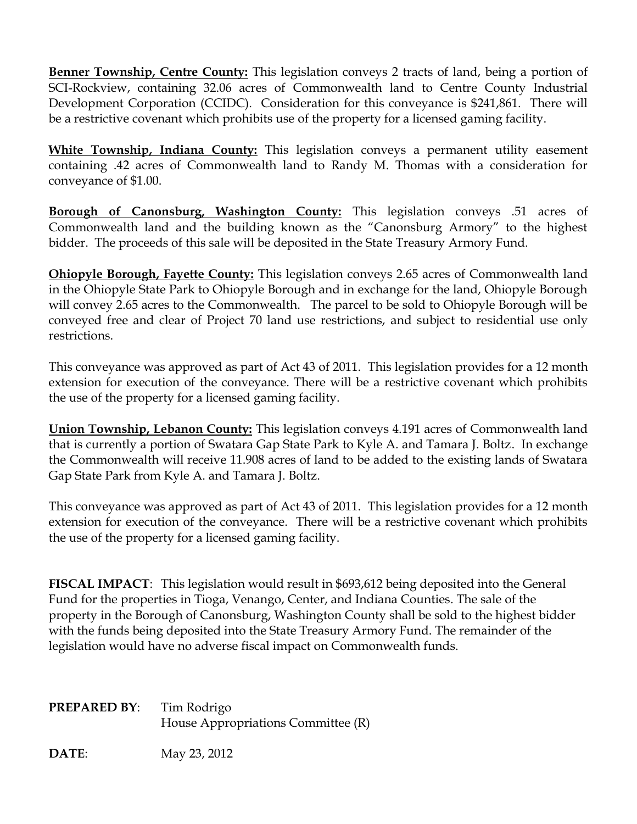**Benner Township, Centre County:** This legislation conveys 2 tracts of land, being a portion of SCI-Rockview, containing 32.06 acres of Commonwealth land to Centre County Industrial Development Corporation (CCIDC). Consideration for this conveyance is \$241,861. There will be a restrictive covenant which prohibits use of the property for a licensed gaming facility.

**White Township, Indiana County:** This legislation conveys a permanent utility easement containing .42 acres of Commonwealth land to Randy M. Thomas with a consideration for conveyance of \$1.00.

**Borough of Canonsburg, Washington County:** This legislation conveys .51 acres of Commonwealth land and the building known as the "Canonsburg Armory" to the highest bidder. The proceeds of this sale will be deposited in the State Treasury Armory Fund.

**Ohiopyle Borough, Fayette County:** This legislation conveys 2.65 acres of Commonwealth land in the Ohiopyle State Park to Ohiopyle Borough and in exchange for the land, Ohiopyle Borough will convey 2.65 acres to the Commonwealth. The parcel to be sold to Ohiopyle Borough will be conveyed free and clear of Project 70 land use restrictions, and subject to residential use only restrictions.

This conveyance was approved as part of Act 43 of 2011. This legislation provides for a 12 month extension for execution of the conveyance. There will be a restrictive covenant which prohibits the use of the property for a licensed gaming facility.

**Union Township, Lebanon County:** This legislation conveys 4.191 acres of Commonwealth land that is currently a portion of Swatara Gap State Park to Kyle A. and Tamara J. Boltz. In exchange the Commonwealth will receive 11.908 acres of land to be added to the existing lands of Swatara Gap State Park from Kyle A. and Tamara J. Boltz.

This conveyance was approved as part of Act 43 of 2011. This legislation provides for a 12 month extension for execution of the conveyance. There will be a restrictive covenant which prohibits the use of the property for a licensed gaming facility.

**FISCAL IMPACT**: This legislation would result in \$693,612 being deposited into the General Fund for the properties in Tioga, Venango, Center, and Indiana Counties. The sale of the property in the Borough of Canonsburg, Washington County shall be sold to the highest bidder with the funds being deposited into the State Treasury Armory Fund. The remainder of the legislation would have no adverse fiscal impact on Commonwealth funds.

| <b>PREPARED BY:</b> | Tim Rodrigo                        |
|---------------------|------------------------------------|
|                     | House Appropriations Committee (R) |
|                     |                                    |

**DATE**: May 23, 2012